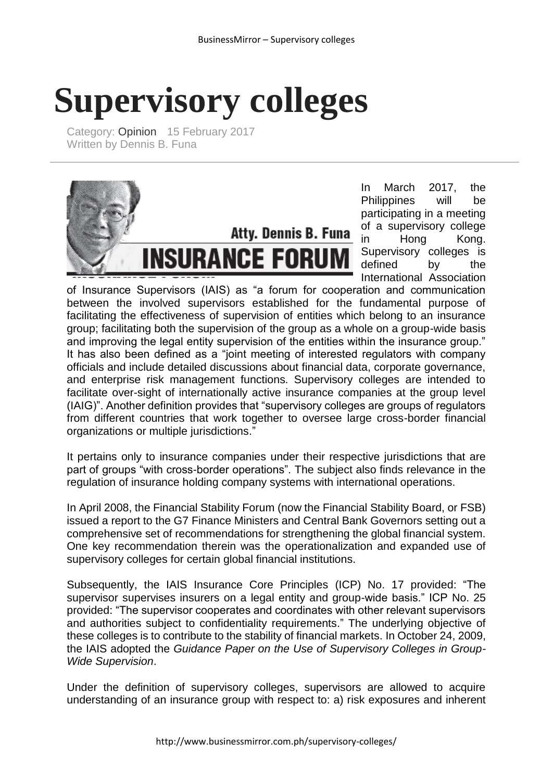## **Supervisory colleges**

Category: [Opinion](http://www.businessmirror.com.ph/index.php/en/news/opinion) 15 February 2017 Written by Dennis B. Funa



In March 2017, the Philippines will be participating in a meeting of a supervisory college in Hong Kong. Supervisory colleges is defined by the International Association

of Insurance Supervisors (IAIS) as "a forum for cooperation and communication between the involved supervisors established for the fundamental purpose of facilitating the effectiveness of supervision of entities which belong to an insurance group; facilitating both the supervision of the group as a whole on a group-wide basis and improving the legal entity supervision of the entities within the insurance group." It has also been defined as a "joint meeting of interested regulators with company officials and include detailed discussions about financial data, corporate governance, and enterprise risk management functions. Supervisory colleges are intended to facilitate over-sight of internationally active insurance companies at the group level (IAIG)". Another definition provides that "supervisory colleges are groups of regulators from different countries that work together to oversee large cross-border financial organizations or multiple jurisdictions."

It pertains only to insurance companies under their respective jurisdictions that are part of groups "with cross-border operations". The subject also finds relevance in the regulation of insurance holding company systems with international operations.

In April 2008, the Financial Stability Forum (now the Financial Stability Board, or FSB) issued a report to the G7 Finance Ministers and Central Bank Governors setting out a comprehensive set of recommendations for strengthening the global financial system. One key recommendation therein was the operationalization and expanded use of supervisory colleges for certain global financial institutions.

Subsequently, the IAIS Insurance Core Principles (ICP) No. 17 provided: "The supervisor supervises insurers on a legal entity and group-wide basis." ICP No. 25 provided: "The supervisor cooperates and coordinates with other relevant supervisors and authorities subject to confidentiality requirements." The underlying objective of these colleges is to contribute to the stability of financial markets. In October 24, 2009, the IAIS adopted the *Guidance Paper on the Use of Supervisory Colleges in Group-Wide Supervision*.

Under the definition of supervisory colleges, supervisors are allowed to acquire understanding of an insurance group with respect to: a) risk exposures and inherent